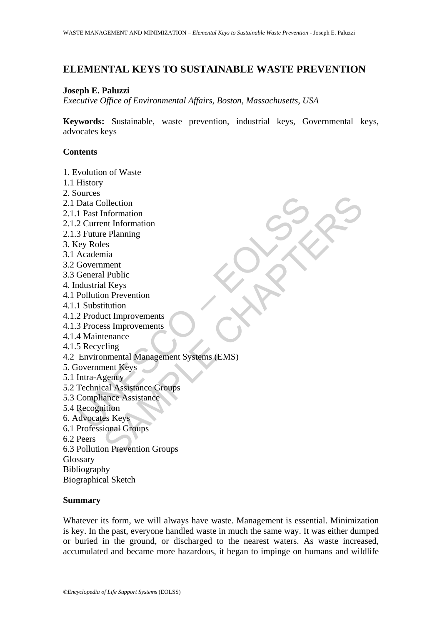# **ELEMENTAL KEYS TO SUSTAINABLE WASTE PREVENTION**

### **Joseph E. Paluzzi**

*Executive Office of Environmental Affairs, Boston, Massachusetts, USA* 

**Keywords:** Sustainable, waste prevention, industrial keys, Governmental keys, advocates keys

## **Contents**

1. Evolution of Waste

- 1.1 History
- 2. Sources
- 2.1 Data Collection
- 2.1.1 Past Information
- 2.1.2 Current Information
- 2.1.3 Future Planning
- 3. Key Roles
- 3.1 Academia
- 3.2 Government
- 3.3 General Public
- 4. Industrial Keys
- 4.1 Pollution Prevention
- 4.1.1 Substitution
- 4.1.2 Product Improvements
- 4.1.3 Process Improvements
- 4.1.4 Maintenance
- 4.1.5 Recycling
- States<br>
Data Collection<br>
1 Past Information<br>
2 Current Information<br>
3 Future Planning<br>
Academia<br>
Academia<br>
Government<br>
Government<br>
General Public<br>
Mustitution<br>
2 Product Improvements<br>
3 Process Improvements<br>
4 Maintenance<br> ollection<br>
Information<br>
e Planning<br>
es<br>
mia<br>
ment<br>
I Public<br>
I Reys<br>
In Public<br>
Litter<br>
I Public<br>
Litter<br>
I Public<br>
Litter<br>
In Prevention<br>
Litter<br>
momental Management Systems (EMS)<br>
gency<br>
sucal Assistance Groups<br>
anne Ass 4.2 Environmental Management Systems (EMS)
- 5. Government Keys
- 5.1 Intra-Agency
- 5.2 Technical Assistance Groups
- 5.3 Compliance Assistance
- 5.4 Recognition
- 6. Advocates Keys
- 6.1 Professional Groups
- 6.2 Peers
- 6.3 Pollution Prevention Groups
- Glossary
- Bibliography
- Biographical Sketch

### **Summary**

Whatever its form, we will always have waste. Management is essential. Minimization is key. In the past, everyone handled waste in much the same way. It was either dumped or buried in the ground, or discharged to the nearest waters. As waste increased, accumulated and became more hazardous, it began to impinge on humans and wildlife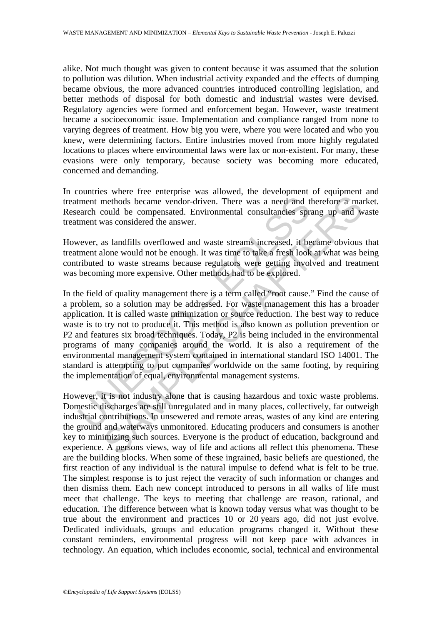alike. Not much thought was given to content because it was assumed that the solution to pollution was dilution. When industrial activity expanded and the effects of dumping became obvious, the more advanced countries introduced controlling legislation, and better methods of disposal for both domestic and industrial wastes were devised. Regulatory agencies were formed and enforcement began. However, waste treatment became a socioeconomic issue. Implementation and compliance ranged from none to varying degrees of treatment. How big you were, where you were located and who you knew, were determining factors. Entire industries moved from more highly regulated locations to places where environmental laws were lax or non-existent. For many, these evasions were only temporary, because society was becoming more educated, concerned and demanding.

In countries where free enterprise was allowed, the development of equipment and treatment methods became vendor-driven. There was a need and therefore a market. Research could be compensated. Environmental consultancies sprang up and waste treatment was considered the answer.

However, as landfills overflowed and waste streams increased, it became obvious that treatment alone would not be enough. It was time to take a fresh look at what was being contributed to waste streams because regulators were getting involved and treatment was becoming more expensive. Other methods had to be explored.

tment methods became vendor-driven. There was a need and the arch could be compensated. Environmental consultancies sprement was considered the answer.<br>
wever, as landfills overflowed and waste streams increased, it became methods became vendor-driven. There was a need and therefore a mancula be compensated. Environmental consultancies sprang up and was considered the answer.<br>
as landfills overflowed and waste streams increased, it became ob In the field of quality management there is a term called "root cause." Find the cause of a problem, so a solution may be addressed. For waste management this has a broader application. It is called waste minimization or source reduction. The best way to reduce waste is to try not to produce it. This method is also known as pollution prevention or P2 and features six broad techniques. Today, P2 is being included in the environmental programs of many companies around the world. It is also a requirement of the environmental management system contained in international standard ISO 14001. The standard is attempting to put companies worldwide on the same footing, by requiring the implementation of equal, environmental management systems.

However, it is not industry alone that is causing hazardous and toxic waste problems. Domestic discharges are still unregulated and in many places, collectively, far outweigh industrial contributions. In unsewered and remote areas, wastes of any kind are entering the ground and waterways unmonitored. Educating producers and consumers is another key to minimizing such sources. Everyone is the product of education, background and experience. A persons views, way of life and actions all reflect this phenomena. These are the building blocks. When some of these ingrained, basic beliefs are questioned, the first reaction of any individual is the natural impulse to defend what is felt to be true. The simplest response is to just reject the veracity of such information or changes and then dismiss them. Each new concept introduced to persons in all walks of life must meet that challenge. The keys to meeting that challenge are reason, rational, and education. The difference between what is known today versus what was thought to be true about the environment and practices 10 or 20 years ago, did not just evolve. Dedicated individuals, groups and education programs changed it. Without these constant reminders, environmental progress will not keep pace with advances in technology. An equation, which includes economic, social, technical and environmental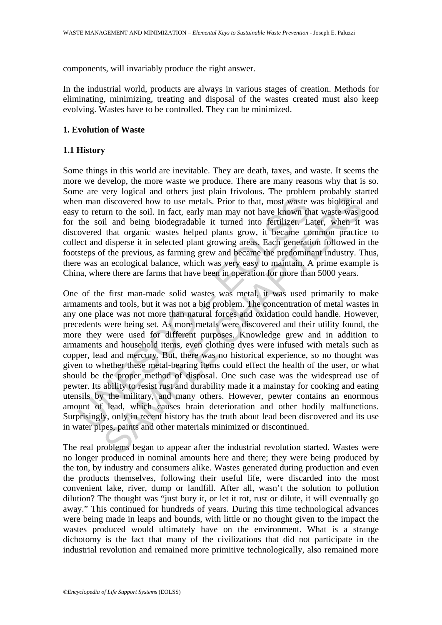components, will invariably produce the right answer.

In the industrial world, products are always in various stages of creation. Methods for eliminating, minimizing, treating and disposal of the wastes created must also keep evolving. Wastes have to be controlled. They can be minimized.

## **1. Evolution of Waste**

# **1.1 History**

Some things in this world are inevitable. They are death, taxes, and waste. It seems the more we develop, the more waste we produce. There are many reasons why that is so. Some are very logical and others just plain frivolous. The problem probably started when man discovered how to use metals. Prior to that, most waste was biological and easy to return to the soil. In fact, early man may not have known that waste was good for the soil and being biodegradable it turned into fertilizer. Later, when it was discovered that organic wastes helped plants grow, it became common practice to collect and disperse it in selected plant growing areas. Each generation followed in the footsteps of the previous, as farming grew and became the predominant industry. Thus, there was an ecological balance, which was very easy to maintain. A prime example is China, where there are farms that have been in operation for more than 5000 years.

In man discovered how to use metals. Prior to that, most waste v to return to the soil. In fact, early man may not have known the soil and being biodegradable it turned into fertilizer. Lavered that organic wastes helped p discovered how to use metals. Prior to that, most waste was biological durn to the soil. In fact, early man may not have known that waste was gill and being biodegradable it urned into ferrilizer. Later, when it that organ One of the first man-made solid wastes was metal, it was used primarily to make armaments and tools, but it was not a big problem. The concentration of metal wastes in any one place was not more than natural forces and oxidation could handle. However, precedents were being set. As more metals were discovered and their utility found, the more they were used for different purposes. Knowledge grew and in addition to armaments and household items, even clothing dyes were infused with metals such as copper, lead and mercury. But, there was no historical experience, so no thought was given to whether these metal-bearing items could effect the health of the user, or what should be the proper method of disposal. One such case was the widespread use of pewter. Its ability to resist rust and durability made it a mainstay for cooking and eating utensils by the military, and many others. However, pewter contains an enormous amount of lead, which causes brain deterioration and other bodily malfunctions. Surprisingly, only in recent history has the truth about lead been discovered and its use in water pipes, paints and other materials minimized or discontinued.

The real problems began to appear after the industrial revolution started. Wastes were no longer produced in nominal amounts here and there; they were being produced by the ton, by industry and consumers alike. Wastes generated during production and even the products themselves, following their useful life, were discarded into the most convenient lake, river, dump or landfill. After all, wasn't the solution to pollution dilution? The thought was "just bury it, or let it rot, rust or dilute, it will eventually go away." This continued for hundreds of years. During this time technological advances were being made in leaps and bounds, with little or no thought given to the impact the wastes produced would ultimately have on the environment. What is a strange dichotomy is the fact that many of the civilizations that did not participate in the industrial revolution and remained more primitive technologically, also remained more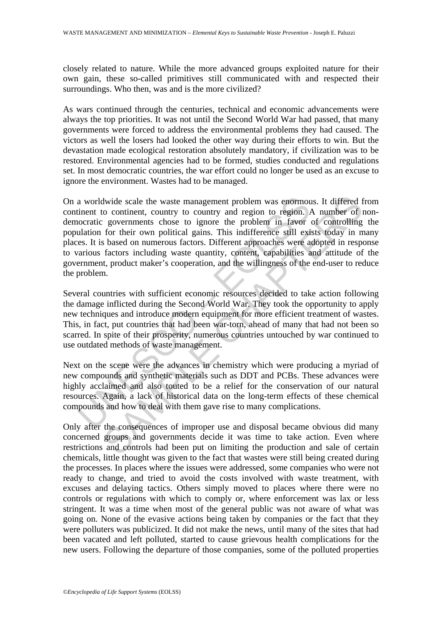closely related to nature. While the more advanced groups exploited nature for their own gain, these so-called primitives still communicated with and respected their surroundings. Who then, was and is the more civilized?

As wars continued through the centuries, technical and economic advancements were always the top priorities. It was not until the Second World War had passed, that many governments were forced to address the environmental problems they had caused. The victors as well the losers had looked the other way during their efforts to win. But the devastation made ecological restoration absolutely mandatory, if civilization was to be restored. Environmental agencies had to be formed, studies conducted and regulations set. In most democratic countries, the war effort could no longer be used as an excuse to ignore the environment. Wastes had to be managed.

a worldwide scale the waste management problem was enormoutinent to continent, country to country and region to region. *l* occratic governments chose to ignore the problem in favor iduation for their own political gains. divide scale the waste management problem was enormous. It differed from continent, country to country and region to region. A number of problem in favor of controlling gains. This indifference still exists today in meta f On a worldwide scale the waste management problem was enormous. It differed from continent to continent, country to country and region to region. A number of nondemocratic governments chose to ignore the problem in favor of controlling the population for their own political gains. This indifference still exists today in many places. It is based on numerous factors. Different approaches were adopted in response to various factors including waste quantity, content, capabilities and attitude of the government, product maker's cooperation, and the willingness of the end-user to reduce the problem.

Several countries with sufficient economic resources decided to take action following the damage inflicted during the Second World War. They took the opportunity to apply new techniques and introduce modern equipment for more efficient treatment of wastes. This, in fact, put countries that had been war-torn, ahead of many that had not been so scarred. In spite of their prosperity, numerous countries untouched by war continued to use outdated methods of waste management.

Next on the scene were the advances in chemistry which were producing a myriad of new compounds and synthetic materials such as DDT and PCBs. These advances were highly acclaimed and also touted to be a relief for the conservation of our natural resources. Again, a lack of historical data on the long-term effects of these chemical compounds and how to deal with them gave rise to many complications.

Only after the consequences of improper use and disposal became obvious did many concerned groups and governments decide it was time to take action. Even where restrictions and controls had been put on limiting the production and sale of certain chemicals, little thought was given to the fact that wastes were still being created during the processes. In places where the issues were addressed, some companies who were not ready to change, and tried to avoid the costs involved with waste treatment, with excuses and delaying tactics. Others simply moved to places where there were no controls or regulations with which to comply or, where enforcement was lax or less stringent. It was a time when most of the general public was not aware of what was going on. None of the evasive actions being taken by companies or the fact that they were polluters was publicized. It did not make the news, until many of the sites that had been vacated and left polluted, started to cause grievous health complications for the new users. Following the departure of those companies, some of the polluted properties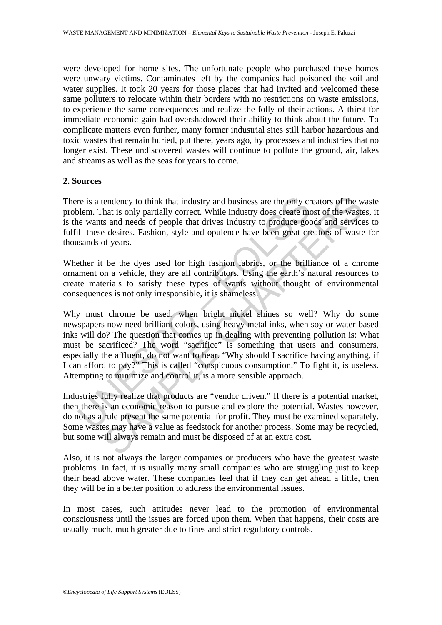were developed for home sites. The unfortunate people who purchased these homes were unwary victims. Contaminates left by the companies had poisoned the soil and water supplies. It took 20 years for those places that had invited and welcomed these same polluters to relocate within their borders with no restrictions on waste emissions, to experience the same consequences and realize the folly of their actions. A thirst for immediate economic gain had overshadowed their ability to think about the future. To complicate matters even further, many former industrial sites still harbor hazardous and toxic wastes that remain buried, put there, years ago, by processes and industries that no longer exist. These undiscovered wastes will continue to pollute the ground, air, lakes and streams as well as the seas for years to come.

### **2. Sources**

There is a tendency to think that industry and business are the only creators of the waste problem. That is only partially correct. While industry does create most of the wastes, it is the wants and needs of people that drives industry to produce goods and services to fulfill these desires. Fashion, style and opulence have been great creators of waste for thousands of years.

Whether it be the dyes used for high fashion fabrics, or the brilliance of a chrome ornament on a vehicle, they are all contributors. Using the earth's natural resources to create materials to satisfy these types of wants without thought of environmental consequences is not only irresponsible, it is shameless.

re is a tendency to think that industry and business are the only cride.<br>Then That is only partially correct. While industry does create me<br>e wants and needs of people that drives industry to produce good<br>Ill these desires tendency to think that industry and business are the only creators of the what is only partially correct. While industry does create most of the wasts and needs of people that drives industry to produce goods and service e Why must chrome be used, when bright nickel shines so well? Why do some newspapers now need brilliant colors, using heavy metal inks, when soy or water-based inks will do? The question that comes up in dealing with preventing pollution is: What must be sacrificed? The word "sacrifice" is something that users and consumers, especially the affluent, do not want to hear. "Why should I sacrifice having anything, if I can afford to pay?" This is called "conspicuous consumption." To fight it, is useless. Attempting to minimize and control it, is a more sensible approach.

Industries fully realize that products are "vendor driven." If there is a potential market, then there is an economic reason to pursue and explore the potential. Wastes however, do not as a rule present the same potential for profit. They must be examined separately. Some wastes may have a value as feedstock for another process. Some may be recycled, but some will always remain and must be disposed of at an extra cost.

Also, it is not always the larger companies or producers who have the greatest waste problems. In fact, it is usually many small companies who are struggling just to keep their head above water. These companies feel that if they can get ahead a little, then they will be in a better position to address the environmental issues.

In most cases, such attitudes never lead to the promotion of environmental consciousness until the issues are forced upon them. When that happens, their costs are usually much, much greater due to fines and strict regulatory controls.